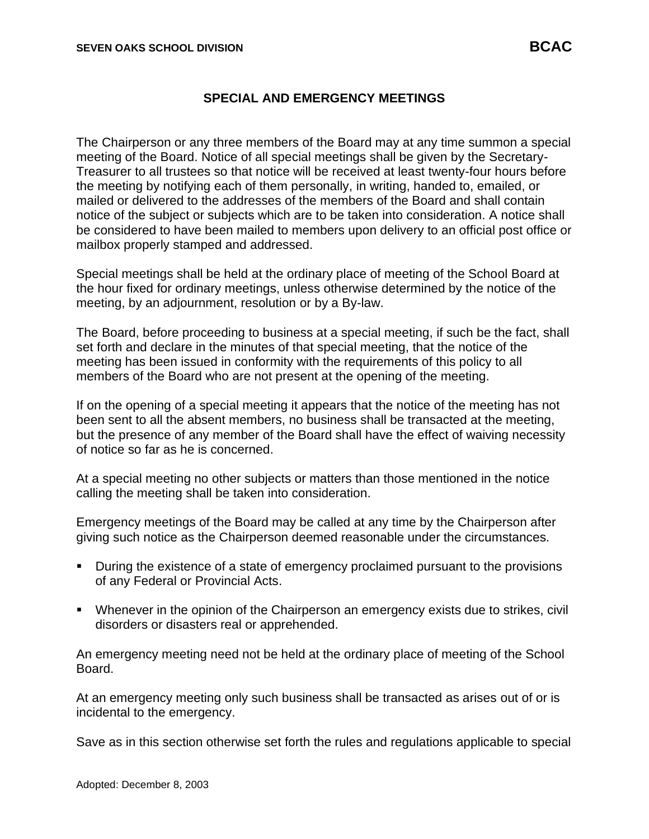## **SPECIAL AND EMERGENCY MEETINGS**

The Chairperson or any three members of the Board may at any time summon a special meeting of the Board. Notice of all special meetings shall be given by the Secretary-Treasurer to all trustees so that notice will be received at least twenty-four hours before the meeting by notifying each of them personally, in writing, handed to, emailed, or mailed or delivered to the addresses of the members of the Board and shall contain notice of the subject or subjects which are to be taken into consideration. A notice shall be considered to have been mailed to members upon delivery to an official post office or mailbox properly stamped and addressed.

Special meetings shall be held at the ordinary place of meeting of the School Board at the hour fixed for ordinary meetings, unless otherwise determined by the notice of the meeting, by an adjournment, resolution or by a By-law.

The Board, before proceeding to business at a special meeting, if such be the fact, shall set forth and declare in the minutes of that special meeting, that the notice of the meeting has been issued in conformity with the requirements of this policy to all members of the Board who are not present at the opening of the meeting.

If on the opening of a special meeting it appears that the notice of the meeting has not been sent to all the absent members, no business shall be transacted at the meeting, but the presence of any member of the Board shall have the effect of waiving necessity of notice so far as he is concerned.

At a special meeting no other subjects or matters than those mentioned in the notice calling the meeting shall be taken into consideration.

Emergency meetings of the Board may be called at any time by the Chairperson after giving such notice as the Chairperson deemed reasonable under the circumstances.

- During the existence of a state of emergency proclaimed pursuant to the provisions of any Federal or Provincial Acts.
- Whenever in the opinion of the Chairperson an emergency exists due to strikes, civil disorders or disasters real or apprehended.

An emergency meeting need not be held at the ordinary place of meeting of the School Board.

At an emergency meeting only such business shall be transacted as arises out of or is incidental to the emergency.

Save as in this section otherwise set forth the rules and regulations applicable to special